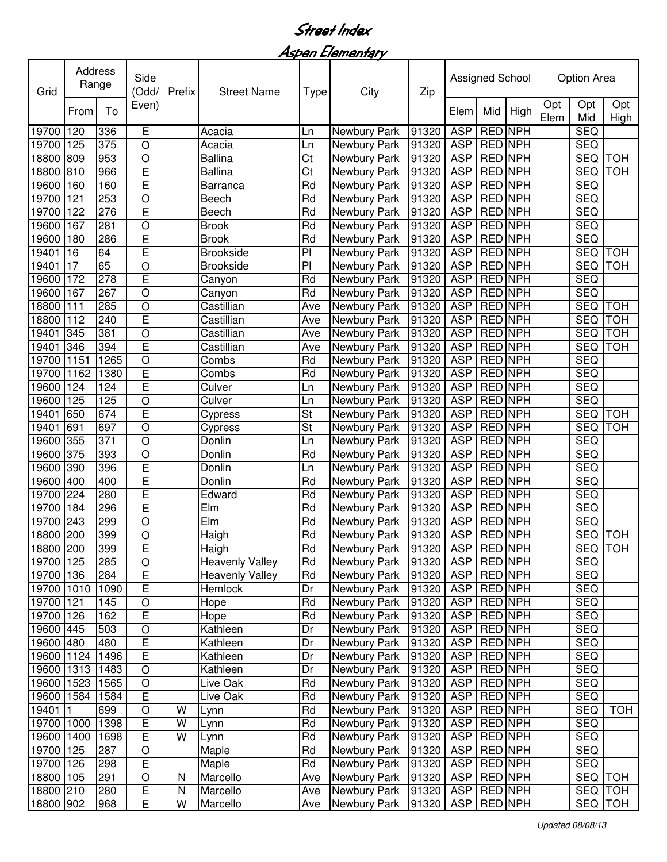Aspen Elementary

| Grid       | Address<br>Range |      | Side<br>(Odd/<br>Prefix |           | <b>Street Name</b>     | Type           | City                | Zip   | Assigned School |                |                | <b>Option Area</b> |                |             |
|------------|------------------|------|-------------------------|-----------|------------------------|----------------|---------------------|-------|-----------------|----------------|----------------|--------------------|----------------|-------------|
|            | From             | To   | Even)                   |           |                        |                |                     |       | Elem            | Mid            | High           | Opt<br>Elem        | Opt<br>Mid     | Opt<br>High |
| 19700      | 120              | 336  | E                       |           | Acacia                 | Ln             | <b>Newbury Park</b> | 91320 | <b>ASP</b>      | <b>RED NPH</b> |                |                    | <b>SEQ</b>     |             |
| 19700      | 125              | 375  | O                       |           | Acacia                 | Ln             | Newbury Park        | 91320 | <b>ASP</b>      | <b>RED NPH</b> |                |                    | <b>SEQ</b>     |             |
| 18800      | 809              | 953  | O                       |           | <b>Ballina</b>         | Ct             | Newbury Park        | 91320 | <b>ASP</b>      | <b>RED NPH</b> |                |                    | <b>SEQ</b>     | <b>TOH</b>  |
| 18800      | 810              | 966  | E                       |           | <b>Ballina</b>         | Ct             | Newbury Park        | 91320 | <b>ASP</b>      | <b>RED NPH</b> |                |                    | <b>SEQ</b>     | <b>TOH</b>  |
| 19600      | 160              | 160  | Ē                       |           | Barranca               | Rd             | Newbury Park        | 91320 | <b>ASP</b>      | <b>RED NPH</b> |                |                    | <b>SEQ</b>     |             |
| 19700      | 121              | 253  | O                       |           | Beech                  | Rd             | Newbury Park        | 91320 | <b>ASP</b>      | <b>RED NPH</b> |                |                    | <b>SEQ</b>     |             |
| 19700      | 122              | 276  | E                       |           | Beech                  | Rd             | Newbury Park        | 91320 | <b>ASP</b>      | <b>RED</b>     | <b>NPH</b>     |                    | <b>SEQ</b>     |             |
| 19600      | 167              | 281  | O                       |           | <b>Brook</b>           | Rd             | Newbury Park        | 91320 | <b>ASP</b>      | RED NPH        |                |                    | <b>SEQ</b>     |             |
| 19600      | 180              | 286  | E                       |           | <b>Brook</b>           | Rd             | Newbury Park        | 91320 | <b>ASP</b>      | <b>RED</b>     | <b>NPH</b>     |                    | <b>SEQ</b>     |             |
| 19401      | 16               | 64   | E                       |           | <b>Brookside</b>       | P              | Newbury Park        | 91320 | <b>ASP</b>      | <b>RED NPH</b> |                |                    | <b>SEQ</b>     | <b>TOH</b>  |
| 19401      | 17               | 65   | O                       |           | <b>Brookside</b>       | $\overline{P}$ | Newbury Park        | 91320 | <b>ASP</b>      | <b>RED NPH</b> |                |                    | <b>SEQ</b>     | <b>TOH</b>  |
| 19600      | 172              | 278  | E                       |           | Canyon                 | Rd             | Newbury Park        | 91320 | <b>ASP</b>      | <b>RED NPH</b> |                |                    | <b>SEQ</b>     |             |
| 19600      | 167              | 267  | O                       |           | Canyon                 | Rd             | Newbury Park        | 91320 | <b>ASP</b>      | RED NPH        |                |                    | <b>SEQ</b>     |             |
| 18800      | 111              | 285  | $\circ$                 |           | Castillian             | Ave            | Newbury Park        | 91320 | <b>ASP</b>      |                | <b>RED NPH</b> |                    | <b>SEQ</b>     | <b>TOH</b>  |
| 18800      | 112              | 240  | E                       |           | Castillian             | Ave            | Newbury Park        | 91320 | <b>ASP</b>      | RED NPH        |                |                    | <b>SEQ</b>     | <b>TOH</b>  |
| 19401      | 345              | 381  | $\circ$                 |           | Castillian             | Ave            | Newbury Park        | 91320 | <b>ASP</b>      | RED NPH        |                |                    | <b>SEQ</b>     | <b>TOH</b>  |
| 19401      | 346              | 394  | E                       |           | Castillian             | Ave            | Newbury Park        | 91320 | <b>ASP</b>      | RED NPH        |                |                    | <b>SEQ</b>     | <b>TOH</b>  |
| 19700      | 1151             | 1265 | $\overline{O}$          |           | Combs                  | Rd             | Newbury Park        | 91320 | <b>ASP</b>      | RED NPH        |                |                    | <b>SEQ</b>     |             |
| 19700      | 1162             | 1380 | E                       |           | Combs                  | Rd             | Newbury Park        | 91320 | <b>ASP</b>      | RED NPH        |                |                    | <b>SEQ</b>     |             |
| 19600      | 124              | 124  | Ē                       |           | Culver                 | Ln             | Newbury Park        | 91320 | <b>ASP</b>      | RED NPH        |                |                    | <b>SEQ</b>     |             |
| 19600      | 125              | 125  | O                       |           | Culver                 | Ln             | Newbury Park        | 91320 | <b>ASP</b>      | RED NPH        |                |                    | <b>SEQ</b>     |             |
| 19401      | 650              | 674  | Ē                       |           | Cypress                | St             | Newbury Park        | 91320 | <b>ASP</b>      |                | <b>RED NPH</b> |                    | <b>SEQ</b>     | <b>TOH</b>  |
| 19401      | 691              | 697  | O                       |           | Cypress                | St             | Newbury Park        | 91320 | <b>ASP</b>      | RED NPH        |                |                    | <b>SEQ</b>     | <b>TOH</b>  |
| 19600      | 355              | 371  | O                       |           | Donlin                 | Ln             | Newbury Park        | 91320 | <b>ASP</b>      | RED NPH        |                |                    | <b>SEQ</b>     |             |
| 19600      | 375              | 393  | O                       |           | Donlin                 | Rd             | Newbury Park        | 91320 | <b>ASP</b>      | RED NPH        |                |                    | <b>SEQ</b>     |             |
| 19600      | 390              | 396  | E                       |           | Donlin                 | Ln             | Newbury Park        | 91320 | <b>ASP</b>      | RED NPH        |                |                    | <b>SEQ</b>     |             |
| 19600      | 400              | 400  | E                       |           | Donlin                 | Rd             | Newbury Park        | 91320 | <b>ASP</b>      | <b>RED NPH</b> |                |                    | <b>SEQ</b>     |             |
| 19700      | 224              | 280  | E                       |           | Edward                 | Rd             | Newbury Park        | 91320 | <b>ASP</b>      | <b>RED NPH</b> |                |                    | <b>SEQ</b>     |             |
| 19700      | 184              | 296  | E                       |           | Elm                    | Rd             | Newbury Park        | 91320 | <b>ASP</b>      | RED NPH        |                |                    | <b>SEQ</b>     |             |
| 19700      | 243              | 299  | O                       |           | Elm                    | Rd             | Newbury Park        | 91320 | <b>ASP</b>      | RED NPH        |                |                    | <b>SEQ</b>     |             |
| 18800      | 200              | 399  | O                       |           | Haigh                  | Rd             | Newbury Park        | 91320 | <b>ASP</b>      | <b>RED NPH</b> |                |                    | SEQ            | <b>TOH</b>  |
| 18800 200  |                  | 399  | E                       |           | Haigh                  | Rd             | Newbury Park        | 91320 | ASP RED NPH     |                |                |                    | SEQ TOH        |             |
| 19700 125  |                  | 285  | O                       |           | <b>Heavenly Valley</b> | Rd             | Newbury Park        | 91320 | ASP   RED   NPH |                |                |                    | <b>SEQ</b>     |             |
| 19700 136  |                  | 284  | E                       |           | <b>Heavenly Valley</b> | Rd             | Newbury Park        | 91320 | ASP   RED   NPH |                |                |                    | <b>SEQ</b>     |             |
| 19700 1010 |                  | 1090 | E                       |           | Hemlock                | Dr             | Newbury Park        | 91320 | ASP   RED NPH   |                |                |                    | <b>SEQ</b>     |             |
| 19700 121  |                  | 145  | O                       |           | Hope                   | Rd             | Newbury Park        | 91320 | ASP RED NPH     |                |                |                    | <b>SEQ</b>     |             |
| 19700 126  |                  | 162  | E                       |           | Hope                   | Rd             | Newbury Park        | 91320 | <b>ASP</b>      | <b>RED NPH</b> |                |                    | <b>SEQ</b>     |             |
| 19600 445  |                  | 503  | O                       |           | Kathleen               | Dr             | Newbury Park        | 91320 | <b>ASP</b>      | RED NPH        |                |                    | <b>SEQ</b>     |             |
| 19600 480  |                  | 480  | E                       |           | Kathleen               | Dr             | Newbury Park        | 91320 | <b>ASP</b>      | RED NPH        |                |                    | <b>SEQ</b>     |             |
| 19600 1124 |                  | 1496 | $\overline{\mathsf{E}}$ |           | Kathleen               | Dr             | Newbury Park        | 91320 | <b>ASP</b>      | RED NPH        |                |                    | <b>SEQ</b>     |             |
| 19600      | 1313             | 1483 | O                       |           | Kathleen               | Dr             | Newbury Park        | 91320 | <b>ASP</b>      | RED NPH        |                |                    | <b>SEQ</b>     |             |
| 19600 1523 |                  | 1565 | O                       |           | Live Oak               | Rd             | Newbury Park        | 91320 | <b>ASP</b>      | <b>RED NPH</b> |                |                    | <b>SEQ</b>     |             |
| 19600      | 1584             | 1584 | E                       |           | Live Oak               | Rd             | Newbury Park        | 91320 | <b>ASP</b>      | <b>RED NPH</b> |                |                    | <b>SEQ</b>     |             |
| 19401      | 1                | 699  | O                       | W         | Lynn                   | Rd             | Newbury Park        | 91320 | <b>ASP</b>      | <b>RED NPH</b> |                |                    | <b>SEQ</b>     | <b>TOH</b>  |
| 19700 1000 |                  | 1398 | E                       | W         | Lynn                   | Rd             | Newbury Park        | 91320 | <b>ASP</b>      | <b>RED</b> NPH |                |                    | <b>SEQ</b>     |             |
| 19600      | 1400             | 1698 | E                       | W         | Lynn                   | Rd             | Newbury Park        | 91320 | <b>ASP</b>      | RED NPH        |                |                    | <b>SEQ</b>     |             |
| 19700 125  |                  | 287  | O                       |           | Maple                  | Rd             | Newbury Park        | 91320 | <b>ASP</b>      | RED NPH        |                |                    | <b>SEQ</b>     |             |
| 19700      | 126              | 298  | E                       |           | Maple                  | Rd             | Newbury Park        | 91320 | <b>ASP</b>      | RED NPH        |                |                    | <b>SEQ</b>     |             |
| 18800 105  |                  | 291  | O                       | N         | Marcello               | Ave            | Newbury Park        | 91320 | <b>ASP</b>      | <b>RED NPH</b> |                |                    | <b>SEQ TOH</b> |             |
| 18800 210  |                  | 280  | E                       | ${\sf N}$ | Marcello               | Ave            | Newbury Park        | 91320 | <b>ASP</b>      | <b>RED NPH</b> |                |                    | SEQ TOH        |             |
|            |                  | 968  | E                       | W         | Marcello               |                | Newbury Park        |       | <b>ASP</b>      | <b>RED NPH</b> |                |                    | <b>SEQ</b>     | <b>TOH</b>  |
| 18800 902  |                  |      |                         |           |                        | Ave            |                     | 91320 |                 |                |                |                    |                |             |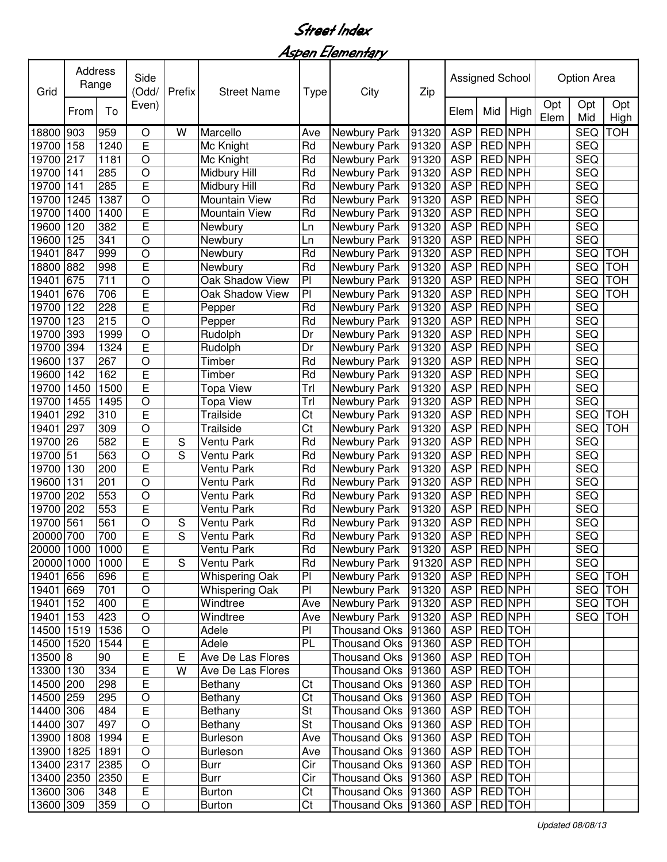Aspen Elementary

| Opt<br>Opt<br>Opt<br>Even)<br>To<br>From<br>Elem<br>Mid<br>High<br>Elem<br>Mid<br>High<br>RED NPH<br>903<br>Newbury Park<br><b>ASP</b><br><b>SEQ</b><br><b>TOH</b><br>18800<br>959<br>W<br>Marcello<br>Ave<br>91320<br>O<br>E<br><b>ASP</b><br>RED NPH<br><b>SEQ</b><br>19700<br>158<br>1240<br>Rd<br>91320<br>Mc Knight<br>Newbury Park<br><b>ASP</b><br>RED NPH<br><b>SEQ</b><br>217<br>1181<br>O<br>Rd<br>91320<br>19700<br>Mc Knight<br>Newbury Park<br>$\circ$<br>RED NPH<br><b>SEQ</b><br>19700<br>285<br>Rd<br>Newbury Park<br>91320<br><b>ASP</b><br>141<br>Midbury Hill<br>E<br>Rd<br>RED NPH<br><b>SEQ</b><br>19700<br>285<br>Newbury Park<br>91320<br><b>ASP</b><br>141<br>Midbury Hill<br>Rd<br><b>ASP</b><br>RED NPH<br><b>SEQ</b><br>19700<br>1245<br>1387<br>O<br>Newbury Park<br>91320<br>Mountain View<br>E<br>RED NPH<br><b>ASP</b><br><b>SEQ</b><br>19700<br>1400<br>1400<br>Mountain View<br>Rd<br>Newbury Park<br>91320<br>E<br><b>ASP</b><br>RED NPH<br><b>SEQ</b><br>19600<br>120<br>382<br>Newbury Park<br>91320<br>Newbury<br>Ln<br>O<br><b>ASP</b><br>RED NPH<br><b>SEQ</b><br>19600<br>125<br>341<br>Newbury Park<br>91320<br>Newbury<br>Ln<br>$\circ$<br><b>ASP</b><br>RED NPH<br>19401<br>Rd<br>91320<br><b>SEQ</b><br>847<br>999<br><b>TOH</b><br>Newbury<br>Newbury Park<br>E<br><b>ASP</b><br>RED NPH<br><b>SEQ</b><br>18800<br>882<br>998<br>Rd<br>Newbury Park<br>91320<br><b>TOH</b><br>Newbury<br>711<br>$\circ$<br>675<br>P <sub>1</sub><br><b>ASP</b><br>RED NPH<br><b>SEQ</b><br><b>TOH</b><br>19401<br>Oak Shadow View<br>91320<br>Newbury Park<br>E<br>PI<br><b>ASP</b><br>RED NPH<br>19401<br>676<br>706<br>Oak Shadow View<br>91320<br><b>SEQ</b><br><b>TOH</b><br>Newbury Park<br>Ē<br>RED NPH<br><b>SEQ</b><br>122<br>228<br>Rd<br><b>ASP</b><br>19700<br>91320<br>Pepper<br>Newbury Park<br>$\circ$<br>RED NPH<br>123<br>215<br>Rd<br><b>ASP</b><br><b>SEQ</b><br>19700<br>Pepper<br>Newbury Park<br>91320<br><b>RED NPH</b><br><b>SEQ</b><br>393<br>1999<br>$\circ$<br><b>ASP</b><br>19700<br>Rudolph<br>Dr<br>91320<br>Newbury Park<br>E<br><b>RED NPH</b><br>394<br><b>ASP</b><br><b>SEQ</b><br>19700<br>1324<br>Dr<br>91320<br>Rudolph<br>Newbury Park<br>$\overline{O}$<br><b>RED NPH</b><br>Rd<br><b>ASP</b><br><b>SEQ</b><br>19600<br>137<br>267<br>Timber<br>91320<br>Newbury Park<br>E<br><b>ASP</b><br><b>RED NPH</b><br>162<br>Rd<br><b>SEQ</b><br>19600<br>142<br>91320<br>Timber<br>Newbury Park<br>Ē<br><b>ASP</b><br>RED NPH<br><b>SEQ</b><br>19700<br>1450<br>1500<br>Trl<br>Newbury Park<br>91320<br>Topa View<br><b>RED NPH</b><br><b>SEQ</b><br>19700<br>1455<br>1495<br>O<br>Trl<br>Newbury Park<br>91320<br><b>ASP</b><br>Topa View<br>E<br>$\overline{\text{Ct}}$<br><b>Trailside</b><br><b>ASP</b><br>RED NPH<br><b>SEQ</b><br>19401<br>292<br>310<br>Newbury Park<br>91320<br><b>TOH</b><br>19401<br>Ct<br><b>ASP</b><br>RED NPH<br><b>SEQ</b><br><b>TOH</b><br>297<br>309<br>O<br>Trailside<br>Newbury Park<br>91320<br>19700<br>582<br>E<br>$\mathbf S$<br>Rd<br><b>ASP</b><br>RED NPH<br><b>SEQ</b><br>26<br>Ventu Park<br>Newbury Park<br>91320<br>19700<br>563<br>$\circ$<br>S<br>Rd<br><b>ASP</b><br>RED NPH<br><b>SEQ</b><br>51<br>Ventu Park<br>Newbury Park<br>91320<br>E<br>Rd<br><b>ASP</b><br>RED NPH<br><b>SEQ</b><br>19700<br>130<br>200<br>Ventu Park<br>91320<br>Newbury Park<br><b>ASP</b><br>19600<br>$\circ$<br>Rd<br>91320<br>RED NPH<br><b>SEQ</b><br>131<br>201<br>Ventu Park<br>Newbury Park<br>553<br>$\circ$<br><b>ASP</b><br>RED NPH<br><b>SEQ</b><br>19700<br>202<br>Ventu Park<br>Rd<br>91320<br>Newbury Park<br><b>SEQ</b><br>553<br>E<br>Rd<br>91320<br><b>ASP</b><br>RED NPH<br>19700<br>202<br>Ventu Park<br>Newbury Park<br>561<br>561<br>$\circ$<br>RED NPH<br><b>SEQ</b><br>19700<br>Ventu Park<br>Rd<br>91320<br><b>ASP</b><br>S<br>Newbury Park<br>E<br>S<br>RED NPH<br>700<br>Rd<br><b>ASP</b><br><b>SEQ</b><br>20000 700<br>Ventu Park<br>91320<br>Newbury Park<br>91320 ASP RED NPH<br>20000 1000 1000<br>E<br>Rd<br><b>SEQ</b><br>Newbury Park<br>Ventu Park<br>E<br>S<br>ASP   RED NPH<br><b>SEQ</b><br>20000 1000<br>1000<br>Ventu Park<br>Rd<br>Newbury Park<br>91320<br>$\overline{E}$<br>656<br>PI<br>ASP   RED NPH<br>SEQ TOH<br>19401<br>696<br><b>Whispering Oak</b><br>Newbury Park<br>91320<br>$\circ$<br>PI<br>RED NPH<br>SEQ TOH<br>19401<br>Whispering Oak<br>91320<br>ASP  <br>669<br>701<br>Newbury Park<br>$\overline{\mathsf{E}}$<br>RED NPH<br>19401<br>152<br>Windtree<br>Newbury Park<br>ASP  <br>SEQ TOH<br>400<br>Ave<br>91320<br>$\circ$<br>19401<br>Windtree<br>Newbury Park<br>91320<br>ASP   RED NPH<br><b>SEQ</b><br><b>TOH</b><br>153<br>423<br>Ave<br>$\circ$<br>PI<br>ASP   RED   TOH<br>14500 1519<br>1536<br>Adele<br>Thousand Oks 91360<br>PL<br>E<br>ASP   RED   TOH<br>14500 1520<br>1544<br>Adele<br>Thousand Oks<br>91360<br>13500 8<br>E<br>Thousand Oks<br>ASP   RED   TOH<br>90<br>Е<br>Ave De Las Flores<br>91360<br>13300 130<br>E<br>ASP   RED TOH<br>334<br>W<br>Ave De Las Flores<br>Thousand Oks 91360<br>14500 200<br>E<br>Ct<br>ASP   RED   TOH<br>298<br>Bethany<br>Thousand Oks 91360<br>Ct<br>ASP   RED   TOH<br>14500 259<br>295<br>O<br>Bethany<br>Thousand Oks 91360<br>E<br><b>St</b><br>ASP   RED   TOH<br>14400 306<br>484<br>Thousand Oks 91360<br>Bethany<br>$\overline{\mathsf{St}}$<br>14400 307<br>$\circ$<br>ASP RED TOH<br>497<br>Thousand Oks 91360<br>Bethany<br>E<br>ASP   RED   TOH<br>13900 1808<br>Ave<br>Thousand Oks 91360<br>1994<br><b>Burleson</b><br>13900 1825<br>$\circ$<br>ASP   RED TOH<br>1891<br><b>Burleson</b><br>Thousand Oks 91360<br>Ave<br>ASP RED TOH<br>13400 2317<br>2385<br>$\circ$<br>Cir<br>Thousand Oks 91360<br><b>Burr</b><br>ASP RED TOH<br>E<br>Cir<br>13400 2350<br>2350<br><b>Burr</b><br>Thousand Oks 91360<br>$\mathsf E$<br>ASP   RED   TOH<br>13600 306<br>348<br>Ct<br>Thousand Oks 91360<br><b>Burton</b><br>ASP RED TOH<br>13600 309 | Grid | Address<br>Range |     | Side<br>(Odd/ | Prefix | <b>Street Name</b> | <b>Type</b> | City               | Zip | Assigned School |  |  | <b>Option Area</b> |  |  |
|-----------------------------------------------------------------------------------------------------------------------------------------------------------------------------------------------------------------------------------------------------------------------------------------------------------------------------------------------------------------------------------------------------------------------------------------------------------------------------------------------------------------------------------------------------------------------------------------------------------------------------------------------------------------------------------------------------------------------------------------------------------------------------------------------------------------------------------------------------------------------------------------------------------------------------------------------------------------------------------------------------------------------------------------------------------------------------------------------------------------------------------------------------------------------------------------------------------------------------------------------------------------------------------------------------------------------------------------------------------------------------------------------------------------------------------------------------------------------------------------------------------------------------------------------------------------------------------------------------------------------------------------------------------------------------------------------------------------------------------------------------------------------------------------------------------------------------------------------------------------------------------------------------------------------------------------------------------------------------------------------------------------------------------------------------------------------------------------------------------------------------------------------------------------------------------------------------------------------------------------------------------------------------------------------------------------------------------------------------------------------------------------------------------------------------------------------------------------------------------------------------------------------------------------------------------------------------------------------------------------------------------------------------------------------------------------------------------------------------------------------------------------------------------------------------------------------------------------------------------------------------------------------------------------------------------------------------------------------------------------------------------------------------------------------------------------------------------------------------------------------------------------------------------------------------------------------------------------------------------------------------------------------------------------------------------------------------------------------------------------------------------------------------------------------------------------------------------------------------------------------------------------------------------------------------------------------------------------------------------------------------------------------------------------------------------------------------------------------------------------------------------------------------------------------------------------------------------------------------------------------------------------------------------------------------------------------------------------------------------------------------------------------------------------------------------------------------------------------------------------------------------------------------------------------------------------------------------------------------------------------------------------------------------------------------------------------------------------------------------------------------------------------------------------------------------------------------------------------------------------------------------------------------------------------------------------------------------------------------------------------------------------------------------------------------------------------------------------------------------------------------------------------------------------------------------------------------------------------------------------------------------------------------------------------------------------------------------------------------------------------------------------------------------------------------------------------------------------------------------------------------------------------------------------------------------------------------------------------------------------------------------------------------------------------------------------------------------------------------------------------------------------------------------------------------------------------------------------------------------------------------------------------------------------------------------------------------------------------------------------------------------------------------------------------------------------------------------------------------------------------------------------------------------------------------------------------------------------------------------------------------------------------------------------------------------------------------------------|------|------------------|-----|---------------|--------|--------------------|-------------|--------------------|-----|-----------------|--|--|--------------------|--|--|
|                                                                                                                                                                                                                                                                                                                                                                                                                                                                                                                                                                                                                                                                                                                                                                                                                                                                                                                                                                                                                                                                                                                                                                                                                                                                                                                                                                                                                                                                                                                                                                                                                                                                                                                                                                                                                                                                                                                                                                                                                                                                                                                                                                                                                                                                                                                                                                                                                                                                                                                                                                                                                                                                                                                                                                                                                                                                                                                                                                                                                                                                                                                                                                                                                                                                                                                                                                                                                                                                                                                                                                                                                                                                                                                                                                                                                                                                                                                                                                                                                                                                                                                                                                                                                                                                                                                                                                                                                                                                                                                                                                                                                                                                                                                                                                                                                                                                                                                                                                                                                                                                                                                                                                                                                                                                                                                                                                                                                                                                                                                                                                                                                                                                                                                                                                                                                                                                                                                                                                 |      |                  |     |               |        |                    |             |                    |     |                 |  |  |                    |  |  |
|                                                                                                                                                                                                                                                                                                                                                                                                                                                                                                                                                                                                                                                                                                                                                                                                                                                                                                                                                                                                                                                                                                                                                                                                                                                                                                                                                                                                                                                                                                                                                                                                                                                                                                                                                                                                                                                                                                                                                                                                                                                                                                                                                                                                                                                                                                                                                                                                                                                                                                                                                                                                                                                                                                                                                                                                                                                                                                                                                                                                                                                                                                                                                                                                                                                                                                                                                                                                                                                                                                                                                                                                                                                                                                                                                                                                                                                                                                                                                                                                                                                                                                                                                                                                                                                                                                                                                                                                                                                                                                                                                                                                                                                                                                                                                                                                                                                                                                                                                                                                                                                                                                                                                                                                                                                                                                                                                                                                                                                                                                                                                                                                                                                                                                                                                                                                                                                                                                                                                                 |      |                  |     |               |        |                    |             |                    |     |                 |  |  |                    |  |  |
|                                                                                                                                                                                                                                                                                                                                                                                                                                                                                                                                                                                                                                                                                                                                                                                                                                                                                                                                                                                                                                                                                                                                                                                                                                                                                                                                                                                                                                                                                                                                                                                                                                                                                                                                                                                                                                                                                                                                                                                                                                                                                                                                                                                                                                                                                                                                                                                                                                                                                                                                                                                                                                                                                                                                                                                                                                                                                                                                                                                                                                                                                                                                                                                                                                                                                                                                                                                                                                                                                                                                                                                                                                                                                                                                                                                                                                                                                                                                                                                                                                                                                                                                                                                                                                                                                                                                                                                                                                                                                                                                                                                                                                                                                                                                                                                                                                                                                                                                                                                                                                                                                                                                                                                                                                                                                                                                                                                                                                                                                                                                                                                                                                                                                                                                                                                                                                                                                                                                                                 |      |                  |     |               |        |                    |             |                    |     |                 |  |  |                    |  |  |
|                                                                                                                                                                                                                                                                                                                                                                                                                                                                                                                                                                                                                                                                                                                                                                                                                                                                                                                                                                                                                                                                                                                                                                                                                                                                                                                                                                                                                                                                                                                                                                                                                                                                                                                                                                                                                                                                                                                                                                                                                                                                                                                                                                                                                                                                                                                                                                                                                                                                                                                                                                                                                                                                                                                                                                                                                                                                                                                                                                                                                                                                                                                                                                                                                                                                                                                                                                                                                                                                                                                                                                                                                                                                                                                                                                                                                                                                                                                                                                                                                                                                                                                                                                                                                                                                                                                                                                                                                                                                                                                                                                                                                                                                                                                                                                                                                                                                                                                                                                                                                                                                                                                                                                                                                                                                                                                                                                                                                                                                                                                                                                                                                                                                                                                                                                                                                                                                                                                                                                 |      |                  |     |               |        |                    |             |                    |     |                 |  |  |                    |  |  |
|                                                                                                                                                                                                                                                                                                                                                                                                                                                                                                                                                                                                                                                                                                                                                                                                                                                                                                                                                                                                                                                                                                                                                                                                                                                                                                                                                                                                                                                                                                                                                                                                                                                                                                                                                                                                                                                                                                                                                                                                                                                                                                                                                                                                                                                                                                                                                                                                                                                                                                                                                                                                                                                                                                                                                                                                                                                                                                                                                                                                                                                                                                                                                                                                                                                                                                                                                                                                                                                                                                                                                                                                                                                                                                                                                                                                                                                                                                                                                                                                                                                                                                                                                                                                                                                                                                                                                                                                                                                                                                                                                                                                                                                                                                                                                                                                                                                                                                                                                                                                                                                                                                                                                                                                                                                                                                                                                                                                                                                                                                                                                                                                                                                                                                                                                                                                                                                                                                                                                                 |      |                  |     |               |        |                    |             |                    |     |                 |  |  |                    |  |  |
|                                                                                                                                                                                                                                                                                                                                                                                                                                                                                                                                                                                                                                                                                                                                                                                                                                                                                                                                                                                                                                                                                                                                                                                                                                                                                                                                                                                                                                                                                                                                                                                                                                                                                                                                                                                                                                                                                                                                                                                                                                                                                                                                                                                                                                                                                                                                                                                                                                                                                                                                                                                                                                                                                                                                                                                                                                                                                                                                                                                                                                                                                                                                                                                                                                                                                                                                                                                                                                                                                                                                                                                                                                                                                                                                                                                                                                                                                                                                                                                                                                                                                                                                                                                                                                                                                                                                                                                                                                                                                                                                                                                                                                                                                                                                                                                                                                                                                                                                                                                                                                                                                                                                                                                                                                                                                                                                                                                                                                                                                                                                                                                                                                                                                                                                                                                                                                                                                                                                                                 |      |                  |     |               |        |                    |             |                    |     |                 |  |  |                    |  |  |
|                                                                                                                                                                                                                                                                                                                                                                                                                                                                                                                                                                                                                                                                                                                                                                                                                                                                                                                                                                                                                                                                                                                                                                                                                                                                                                                                                                                                                                                                                                                                                                                                                                                                                                                                                                                                                                                                                                                                                                                                                                                                                                                                                                                                                                                                                                                                                                                                                                                                                                                                                                                                                                                                                                                                                                                                                                                                                                                                                                                                                                                                                                                                                                                                                                                                                                                                                                                                                                                                                                                                                                                                                                                                                                                                                                                                                                                                                                                                                                                                                                                                                                                                                                                                                                                                                                                                                                                                                                                                                                                                                                                                                                                                                                                                                                                                                                                                                                                                                                                                                                                                                                                                                                                                                                                                                                                                                                                                                                                                                                                                                                                                                                                                                                                                                                                                                                                                                                                                                                 |      |                  |     |               |        |                    |             |                    |     |                 |  |  |                    |  |  |
|                                                                                                                                                                                                                                                                                                                                                                                                                                                                                                                                                                                                                                                                                                                                                                                                                                                                                                                                                                                                                                                                                                                                                                                                                                                                                                                                                                                                                                                                                                                                                                                                                                                                                                                                                                                                                                                                                                                                                                                                                                                                                                                                                                                                                                                                                                                                                                                                                                                                                                                                                                                                                                                                                                                                                                                                                                                                                                                                                                                                                                                                                                                                                                                                                                                                                                                                                                                                                                                                                                                                                                                                                                                                                                                                                                                                                                                                                                                                                                                                                                                                                                                                                                                                                                                                                                                                                                                                                                                                                                                                                                                                                                                                                                                                                                                                                                                                                                                                                                                                                                                                                                                                                                                                                                                                                                                                                                                                                                                                                                                                                                                                                                                                                                                                                                                                                                                                                                                                                                 |      |                  |     |               |        |                    |             |                    |     |                 |  |  |                    |  |  |
|                                                                                                                                                                                                                                                                                                                                                                                                                                                                                                                                                                                                                                                                                                                                                                                                                                                                                                                                                                                                                                                                                                                                                                                                                                                                                                                                                                                                                                                                                                                                                                                                                                                                                                                                                                                                                                                                                                                                                                                                                                                                                                                                                                                                                                                                                                                                                                                                                                                                                                                                                                                                                                                                                                                                                                                                                                                                                                                                                                                                                                                                                                                                                                                                                                                                                                                                                                                                                                                                                                                                                                                                                                                                                                                                                                                                                                                                                                                                                                                                                                                                                                                                                                                                                                                                                                                                                                                                                                                                                                                                                                                                                                                                                                                                                                                                                                                                                                                                                                                                                                                                                                                                                                                                                                                                                                                                                                                                                                                                                                                                                                                                                                                                                                                                                                                                                                                                                                                                                                 |      |                  |     |               |        |                    |             |                    |     |                 |  |  |                    |  |  |
|                                                                                                                                                                                                                                                                                                                                                                                                                                                                                                                                                                                                                                                                                                                                                                                                                                                                                                                                                                                                                                                                                                                                                                                                                                                                                                                                                                                                                                                                                                                                                                                                                                                                                                                                                                                                                                                                                                                                                                                                                                                                                                                                                                                                                                                                                                                                                                                                                                                                                                                                                                                                                                                                                                                                                                                                                                                                                                                                                                                                                                                                                                                                                                                                                                                                                                                                                                                                                                                                                                                                                                                                                                                                                                                                                                                                                                                                                                                                                                                                                                                                                                                                                                                                                                                                                                                                                                                                                                                                                                                                                                                                                                                                                                                                                                                                                                                                                                                                                                                                                                                                                                                                                                                                                                                                                                                                                                                                                                                                                                                                                                                                                                                                                                                                                                                                                                                                                                                                                                 |      |                  |     |               |        |                    |             |                    |     |                 |  |  |                    |  |  |
|                                                                                                                                                                                                                                                                                                                                                                                                                                                                                                                                                                                                                                                                                                                                                                                                                                                                                                                                                                                                                                                                                                                                                                                                                                                                                                                                                                                                                                                                                                                                                                                                                                                                                                                                                                                                                                                                                                                                                                                                                                                                                                                                                                                                                                                                                                                                                                                                                                                                                                                                                                                                                                                                                                                                                                                                                                                                                                                                                                                                                                                                                                                                                                                                                                                                                                                                                                                                                                                                                                                                                                                                                                                                                                                                                                                                                                                                                                                                                                                                                                                                                                                                                                                                                                                                                                                                                                                                                                                                                                                                                                                                                                                                                                                                                                                                                                                                                                                                                                                                                                                                                                                                                                                                                                                                                                                                                                                                                                                                                                                                                                                                                                                                                                                                                                                                                                                                                                                                                                 |      |                  |     |               |        |                    |             |                    |     |                 |  |  |                    |  |  |
|                                                                                                                                                                                                                                                                                                                                                                                                                                                                                                                                                                                                                                                                                                                                                                                                                                                                                                                                                                                                                                                                                                                                                                                                                                                                                                                                                                                                                                                                                                                                                                                                                                                                                                                                                                                                                                                                                                                                                                                                                                                                                                                                                                                                                                                                                                                                                                                                                                                                                                                                                                                                                                                                                                                                                                                                                                                                                                                                                                                                                                                                                                                                                                                                                                                                                                                                                                                                                                                                                                                                                                                                                                                                                                                                                                                                                                                                                                                                                                                                                                                                                                                                                                                                                                                                                                                                                                                                                                                                                                                                                                                                                                                                                                                                                                                                                                                                                                                                                                                                                                                                                                                                                                                                                                                                                                                                                                                                                                                                                                                                                                                                                                                                                                                                                                                                                                                                                                                                                                 |      |                  |     |               |        |                    |             |                    |     |                 |  |  |                    |  |  |
|                                                                                                                                                                                                                                                                                                                                                                                                                                                                                                                                                                                                                                                                                                                                                                                                                                                                                                                                                                                                                                                                                                                                                                                                                                                                                                                                                                                                                                                                                                                                                                                                                                                                                                                                                                                                                                                                                                                                                                                                                                                                                                                                                                                                                                                                                                                                                                                                                                                                                                                                                                                                                                                                                                                                                                                                                                                                                                                                                                                                                                                                                                                                                                                                                                                                                                                                                                                                                                                                                                                                                                                                                                                                                                                                                                                                                                                                                                                                                                                                                                                                                                                                                                                                                                                                                                                                                                                                                                                                                                                                                                                                                                                                                                                                                                                                                                                                                                                                                                                                                                                                                                                                                                                                                                                                                                                                                                                                                                                                                                                                                                                                                                                                                                                                                                                                                                                                                                                                                                 |      |                  |     |               |        |                    |             |                    |     |                 |  |  |                    |  |  |
|                                                                                                                                                                                                                                                                                                                                                                                                                                                                                                                                                                                                                                                                                                                                                                                                                                                                                                                                                                                                                                                                                                                                                                                                                                                                                                                                                                                                                                                                                                                                                                                                                                                                                                                                                                                                                                                                                                                                                                                                                                                                                                                                                                                                                                                                                                                                                                                                                                                                                                                                                                                                                                                                                                                                                                                                                                                                                                                                                                                                                                                                                                                                                                                                                                                                                                                                                                                                                                                                                                                                                                                                                                                                                                                                                                                                                                                                                                                                                                                                                                                                                                                                                                                                                                                                                                                                                                                                                                                                                                                                                                                                                                                                                                                                                                                                                                                                                                                                                                                                                                                                                                                                                                                                                                                                                                                                                                                                                                                                                                                                                                                                                                                                                                                                                                                                                                                                                                                                                                 |      |                  |     |               |        |                    |             |                    |     |                 |  |  |                    |  |  |
|                                                                                                                                                                                                                                                                                                                                                                                                                                                                                                                                                                                                                                                                                                                                                                                                                                                                                                                                                                                                                                                                                                                                                                                                                                                                                                                                                                                                                                                                                                                                                                                                                                                                                                                                                                                                                                                                                                                                                                                                                                                                                                                                                                                                                                                                                                                                                                                                                                                                                                                                                                                                                                                                                                                                                                                                                                                                                                                                                                                                                                                                                                                                                                                                                                                                                                                                                                                                                                                                                                                                                                                                                                                                                                                                                                                                                                                                                                                                                                                                                                                                                                                                                                                                                                                                                                                                                                                                                                                                                                                                                                                                                                                                                                                                                                                                                                                                                                                                                                                                                                                                                                                                                                                                                                                                                                                                                                                                                                                                                                                                                                                                                                                                                                                                                                                                                                                                                                                                                                 |      |                  |     |               |        |                    |             |                    |     |                 |  |  |                    |  |  |
|                                                                                                                                                                                                                                                                                                                                                                                                                                                                                                                                                                                                                                                                                                                                                                                                                                                                                                                                                                                                                                                                                                                                                                                                                                                                                                                                                                                                                                                                                                                                                                                                                                                                                                                                                                                                                                                                                                                                                                                                                                                                                                                                                                                                                                                                                                                                                                                                                                                                                                                                                                                                                                                                                                                                                                                                                                                                                                                                                                                                                                                                                                                                                                                                                                                                                                                                                                                                                                                                                                                                                                                                                                                                                                                                                                                                                                                                                                                                                                                                                                                                                                                                                                                                                                                                                                                                                                                                                                                                                                                                                                                                                                                                                                                                                                                                                                                                                                                                                                                                                                                                                                                                                                                                                                                                                                                                                                                                                                                                                                                                                                                                                                                                                                                                                                                                                                                                                                                                                                 |      |                  |     |               |        |                    |             |                    |     |                 |  |  |                    |  |  |
|                                                                                                                                                                                                                                                                                                                                                                                                                                                                                                                                                                                                                                                                                                                                                                                                                                                                                                                                                                                                                                                                                                                                                                                                                                                                                                                                                                                                                                                                                                                                                                                                                                                                                                                                                                                                                                                                                                                                                                                                                                                                                                                                                                                                                                                                                                                                                                                                                                                                                                                                                                                                                                                                                                                                                                                                                                                                                                                                                                                                                                                                                                                                                                                                                                                                                                                                                                                                                                                                                                                                                                                                                                                                                                                                                                                                                                                                                                                                                                                                                                                                                                                                                                                                                                                                                                                                                                                                                                                                                                                                                                                                                                                                                                                                                                                                                                                                                                                                                                                                                                                                                                                                                                                                                                                                                                                                                                                                                                                                                                                                                                                                                                                                                                                                                                                                                                                                                                                                                                 |      |                  |     |               |        |                    |             |                    |     |                 |  |  |                    |  |  |
|                                                                                                                                                                                                                                                                                                                                                                                                                                                                                                                                                                                                                                                                                                                                                                                                                                                                                                                                                                                                                                                                                                                                                                                                                                                                                                                                                                                                                                                                                                                                                                                                                                                                                                                                                                                                                                                                                                                                                                                                                                                                                                                                                                                                                                                                                                                                                                                                                                                                                                                                                                                                                                                                                                                                                                                                                                                                                                                                                                                                                                                                                                                                                                                                                                                                                                                                                                                                                                                                                                                                                                                                                                                                                                                                                                                                                                                                                                                                                                                                                                                                                                                                                                                                                                                                                                                                                                                                                                                                                                                                                                                                                                                                                                                                                                                                                                                                                                                                                                                                                                                                                                                                                                                                                                                                                                                                                                                                                                                                                                                                                                                                                                                                                                                                                                                                                                                                                                                                                                 |      |                  |     |               |        |                    |             |                    |     |                 |  |  |                    |  |  |
|                                                                                                                                                                                                                                                                                                                                                                                                                                                                                                                                                                                                                                                                                                                                                                                                                                                                                                                                                                                                                                                                                                                                                                                                                                                                                                                                                                                                                                                                                                                                                                                                                                                                                                                                                                                                                                                                                                                                                                                                                                                                                                                                                                                                                                                                                                                                                                                                                                                                                                                                                                                                                                                                                                                                                                                                                                                                                                                                                                                                                                                                                                                                                                                                                                                                                                                                                                                                                                                                                                                                                                                                                                                                                                                                                                                                                                                                                                                                                                                                                                                                                                                                                                                                                                                                                                                                                                                                                                                                                                                                                                                                                                                                                                                                                                                                                                                                                                                                                                                                                                                                                                                                                                                                                                                                                                                                                                                                                                                                                                                                                                                                                                                                                                                                                                                                                                                                                                                                                                 |      |                  |     |               |        |                    |             |                    |     |                 |  |  |                    |  |  |
|                                                                                                                                                                                                                                                                                                                                                                                                                                                                                                                                                                                                                                                                                                                                                                                                                                                                                                                                                                                                                                                                                                                                                                                                                                                                                                                                                                                                                                                                                                                                                                                                                                                                                                                                                                                                                                                                                                                                                                                                                                                                                                                                                                                                                                                                                                                                                                                                                                                                                                                                                                                                                                                                                                                                                                                                                                                                                                                                                                                                                                                                                                                                                                                                                                                                                                                                                                                                                                                                                                                                                                                                                                                                                                                                                                                                                                                                                                                                                                                                                                                                                                                                                                                                                                                                                                                                                                                                                                                                                                                                                                                                                                                                                                                                                                                                                                                                                                                                                                                                                                                                                                                                                                                                                                                                                                                                                                                                                                                                                                                                                                                                                                                                                                                                                                                                                                                                                                                                                                 |      |                  |     |               |        |                    |             |                    |     |                 |  |  |                    |  |  |
|                                                                                                                                                                                                                                                                                                                                                                                                                                                                                                                                                                                                                                                                                                                                                                                                                                                                                                                                                                                                                                                                                                                                                                                                                                                                                                                                                                                                                                                                                                                                                                                                                                                                                                                                                                                                                                                                                                                                                                                                                                                                                                                                                                                                                                                                                                                                                                                                                                                                                                                                                                                                                                                                                                                                                                                                                                                                                                                                                                                                                                                                                                                                                                                                                                                                                                                                                                                                                                                                                                                                                                                                                                                                                                                                                                                                                                                                                                                                                                                                                                                                                                                                                                                                                                                                                                                                                                                                                                                                                                                                                                                                                                                                                                                                                                                                                                                                                                                                                                                                                                                                                                                                                                                                                                                                                                                                                                                                                                                                                                                                                                                                                                                                                                                                                                                                                                                                                                                                                                 |      |                  |     |               |        |                    |             |                    |     |                 |  |  |                    |  |  |
|                                                                                                                                                                                                                                                                                                                                                                                                                                                                                                                                                                                                                                                                                                                                                                                                                                                                                                                                                                                                                                                                                                                                                                                                                                                                                                                                                                                                                                                                                                                                                                                                                                                                                                                                                                                                                                                                                                                                                                                                                                                                                                                                                                                                                                                                                                                                                                                                                                                                                                                                                                                                                                                                                                                                                                                                                                                                                                                                                                                                                                                                                                                                                                                                                                                                                                                                                                                                                                                                                                                                                                                                                                                                                                                                                                                                                                                                                                                                                                                                                                                                                                                                                                                                                                                                                                                                                                                                                                                                                                                                                                                                                                                                                                                                                                                                                                                                                                                                                                                                                                                                                                                                                                                                                                                                                                                                                                                                                                                                                                                                                                                                                                                                                                                                                                                                                                                                                                                                                                 |      |                  |     |               |        |                    |             |                    |     |                 |  |  |                    |  |  |
|                                                                                                                                                                                                                                                                                                                                                                                                                                                                                                                                                                                                                                                                                                                                                                                                                                                                                                                                                                                                                                                                                                                                                                                                                                                                                                                                                                                                                                                                                                                                                                                                                                                                                                                                                                                                                                                                                                                                                                                                                                                                                                                                                                                                                                                                                                                                                                                                                                                                                                                                                                                                                                                                                                                                                                                                                                                                                                                                                                                                                                                                                                                                                                                                                                                                                                                                                                                                                                                                                                                                                                                                                                                                                                                                                                                                                                                                                                                                                                                                                                                                                                                                                                                                                                                                                                                                                                                                                                                                                                                                                                                                                                                                                                                                                                                                                                                                                                                                                                                                                                                                                                                                                                                                                                                                                                                                                                                                                                                                                                                                                                                                                                                                                                                                                                                                                                                                                                                                                                 |      |                  |     |               |        |                    |             |                    |     |                 |  |  |                    |  |  |
|                                                                                                                                                                                                                                                                                                                                                                                                                                                                                                                                                                                                                                                                                                                                                                                                                                                                                                                                                                                                                                                                                                                                                                                                                                                                                                                                                                                                                                                                                                                                                                                                                                                                                                                                                                                                                                                                                                                                                                                                                                                                                                                                                                                                                                                                                                                                                                                                                                                                                                                                                                                                                                                                                                                                                                                                                                                                                                                                                                                                                                                                                                                                                                                                                                                                                                                                                                                                                                                                                                                                                                                                                                                                                                                                                                                                                                                                                                                                                                                                                                                                                                                                                                                                                                                                                                                                                                                                                                                                                                                                                                                                                                                                                                                                                                                                                                                                                                                                                                                                                                                                                                                                                                                                                                                                                                                                                                                                                                                                                                                                                                                                                                                                                                                                                                                                                                                                                                                                                                 |      |                  |     |               |        |                    |             |                    |     |                 |  |  |                    |  |  |
|                                                                                                                                                                                                                                                                                                                                                                                                                                                                                                                                                                                                                                                                                                                                                                                                                                                                                                                                                                                                                                                                                                                                                                                                                                                                                                                                                                                                                                                                                                                                                                                                                                                                                                                                                                                                                                                                                                                                                                                                                                                                                                                                                                                                                                                                                                                                                                                                                                                                                                                                                                                                                                                                                                                                                                                                                                                                                                                                                                                                                                                                                                                                                                                                                                                                                                                                                                                                                                                                                                                                                                                                                                                                                                                                                                                                                                                                                                                                                                                                                                                                                                                                                                                                                                                                                                                                                                                                                                                                                                                                                                                                                                                                                                                                                                                                                                                                                                                                                                                                                                                                                                                                                                                                                                                                                                                                                                                                                                                                                                                                                                                                                                                                                                                                                                                                                                                                                                                                                                 |      |                  |     |               |        |                    |             |                    |     |                 |  |  |                    |  |  |
|                                                                                                                                                                                                                                                                                                                                                                                                                                                                                                                                                                                                                                                                                                                                                                                                                                                                                                                                                                                                                                                                                                                                                                                                                                                                                                                                                                                                                                                                                                                                                                                                                                                                                                                                                                                                                                                                                                                                                                                                                                                                                                                                                                                                                                                                                                                                                                                                                                                                                                                                                                                                                                                                                                                                                                                                                                                                                                                                                                                                                                                                                                                                                                                                                                                                                                                                                                                                                                                                                                                                                                                                                                                                                                                                                                                                                                                                                                                                                                                                                                                                                                                                                                                                                                                                                                                                                                                                                                                                                                                                                                                                                                                                                                                                                                                                                                                                                                                                                                                                                                                                                                                                                                                                                                                                                                                                                                                                                                                                                                                                                                                                                                                                                                                                                                                                                                                                                                                                                                 |      |                  |     |               |        |                    |             |                    |     |                 |  |  |                    |  |  |
|                                                                                                                                                                                                                                                                                                                                                                                                                                                                                                                                                                                                                                                                                                                                                                                                                                                                                                                                                                                                                                                                                                                                                                                                                                                                                                                                                                                                                                                                                                                                                                                                                                                                                                                                                                                                                                                                                                                                                                                                                                                                                                                                                                                                                                                                                                                                                                                                                                                                                                                                                                                                                                                                                                                                                                                                                                                                                                                                                                                                                                                                                                                                                                                                                                                                                                                                                                                                                                                                                                                                                                                                                                                                                                                                                                                                                                                                                                                                                                                                                                                                                                                                                                                                                                                                                                                                                                                                                                                                                                                                                                                                                                                                                                                                                                                                                                                                                                                                                                                                                                                                                                                                                                                                                                                                                                                                                                                                                                                                                                                                                                                                                                                                                                                                                                                                                                                                                                                                                                 |      |                  |     |               |        |                    |             |                    |     |                 |  |  |                    |  |  |
|                                                                                                                                                                                                                                                                                                                                                                                                                                                                                                                                                                                                                                                                                                                                                                                                                                                                                                                                                                                                                                                                                                                                                                                                                                                                                                                                                                                                                                                                                                                                                                                                                                                                                                                                                                                                                                                                                                                                                                                                                                                                                                                                                                                                                                                                                                                                                                                                                                                                                                                                                                                                                                                                                                                                                                                                                                                                                                                                                                                                                                                                                                                                                                                                                                                                                                                                                                                                                                                                                                                                                                                                                                                                                                                                                                                                                                                                                                                                                                                                                                                                                                                                                                                                                                                                                                                                                                                                                                                                                                                                                                                                                                                                                                                                                                                                                                                                                                                                                                                                                                                                                                                                                                                                                                                                                                                                                                                                                                                                                                                                                                                                                                                                                                                                                                                                                                                                                                                                                                 |      |                  |     |               |        |                    |             |                    |     |                 |  |  |                    |  |  |
|                                                                                                                                                                                                                                                                                                                                                                                                                                                                                                                                                                                                                                                                                                                                                                                                                                                                                                                                                                                                                                                                                                                                                                                                                                                                                                                                                                                                                                                                                                                                                                                                                                                                                                                                                                                                                                                                                                                                                                                                                                                                                                                                                                                                                                                                                                                                                                                                                                                                                                                                                                                                                                                                                                                                                                                                                                                                                                                                                                                                                                                                                                                                                                                                                                                                                                                                                                                                                                                                                                                                                                                                                                                                                                                                                                                                                                                                                                                                                                                                                                                                                                                                                                                                                                                                                                                                                                                                                                                                                                                                                                                                                                                                                                                                                                                                                                                                                                                                                                                                                                                                                                                                                                                                                                                                                                                                                                                                                                                                                                                                                                                                                                                                                                                                                                                                                                                                                                                                                                 |      |                  |     |               |        |                    |             |                    |     |                 |  |  |                    |  |  |
|                                                                                                                                                                                                                                                                                                                                                                                                                                                                                                                                                                                                                                                                                                                                                                                                                                                                                                                                                                                                                                                                                                                                                                                                                                                                                                                                                                                                                                                                                                                                                                                                                                                                                                                                                                                                                                                                                                                                                                                                                                                                                                                                                                                                                                                                                                                                                                                                                                                                                                                                                                                                                                                                                                                                                                                                                                                                                                                                                                                                                                                                                                                                                                                                                                                                                                                                                                                                                                                                                                                                                                                                                                                                                                                                                                                                                                                                                                                                                                                                                                                                                                                                                                                                                                                                                                                                                                                                                                                                                                                                                                                                                                                                                                                                                                                                                                                                                                                                                                                                                                                                                                                                                                                                                                                                                                                                                                                                                                                                                                                                                                                                                                                                                                                                                                                                                                                                                                                                                                 |      |                  |     |               |        |                    |             |                    |     |                 |  |  |                    |  |  |
|                                                                                                                                                                                                                                                                                                                                                                                                                                                                                                                                                                                                                                                                                                                                                                                                                                                                                                                                                                                                                                                                                                                                                                                                                                                                                                                                                                                                                                                                                                                                                                                                                                                                                                                                                                                                                                                                                                                                                                                                                                                                                                                                                                                                                                                                                                                                                                                                                                                                                                                                                                                                                                                                                                                                                                                                                                                                                                                                                                                                                                                                                                                                                                                                                                                                                                                                                                                                                                                                                                                                                                                                                                                                                                                                                                                                                                                                                                                                                                                                                                                                                                                                                                                                                                                                                                                                                                                                                                                                                                                                                                                                                                                                                                                                                                                                                                                                                                                                                                                                                                                                                                                                                                                                                                                                                                                                                                                                                                                                                                                                                                                                                                                                                                                                                                                                                                                                                                                                                                 |      |                  |     |               |        |                    |             |                    |     |                 |  |  |                    |  |  |
|                                                                                                                                                                                                                                                                                                                                                                                                                                                                                                                                                                                                                                                                                                                                                                                                                                                                                                                                                                                                                                                                                                                                                                                                                                                                                                                                                                                                                                                                                                                                                                                                                                                                                                                                                                                                                                                                                                                                                                                                                                                                                                                                                                                                                                                                                                                                                                                                                                                                                                                                                                                                                                                                                                                                                                                                                                                                                                                                                                                                                                                                                                                                                                                                                                                                                                                                                                                                                                                                                                                                                                                                                                                                                                                                                                                                                                                                                                                                                                                                                                                                                                                                                                                                                                                                                                                                                                                                                                                                                                                                                                                                                                                                                                                                                                                                                                                                                                                                                                                                                                                                                                                                                                                                                                                                                                                                                                                                                                                                                                                                                                                                                                                                                                                                                                                                                                                                                                                                                                 |      |                  |     |               |        |                    |             |                    |     |                 |  |  |                    |  |  |
|                                                                                                                                                                                                                                                                                                                                                                                                                                                                                                                                                                                                                                                                                                                                                                                                                                                                                                                                                                                                                                                                                                                                                                                                                                                                                                                                                                                                                                                                                                                                                                                                                                                                                                                                                                                                                                                                                                                                                                                                                                                                                                                                                                                                                                                                                                                                                                                                                                                                                                                                                                                                                                                                                                                                                                                                                                                                                                                                                                                                                                                                                                                                                                                                                                                                                                                                                                                                                                                                                                                                                                                                                                                                                                                                                                                                                                                                                                                                                                                                                                                                                                                                                                                                                                                                                                                                                                                                                                                                                                                                                                                                                                                                                                                                                                                                                                                                                                                                                                                                                                                                                                                                                                                                                                                                                                                                                                                                                                                                                                                                                                                                                                                                                                                                                                                                                                                                                                                                                                 |      |                  |     |               |        |                    |             |                    |     |                 |  |  |                    |  |  |
|                                                                                                                                                                                                                                                                                                                                                                                                                                                                                                                                                                                                                                                                                                                                                                                                                                                                                                                                                                                                                                                                                                                                                                                                                                                                                                                                                                                                                                                                                                                                                                                                                                                                                                                                                                                                                                                                                                                                                                                                                                                                                                                                                                                                                                                                                                                                                                                                                                                                                                                                                                                                                                                                                                                                                                                                                                                                                                                                                                                                                                                                                                                                                                                                                                                                                                                                                                                                                                                                                                                                                                                                                                                                                                                                                                                                                                                                                                                                                                                                                                                                                                                                                                                                                                                                                                                                                                                                                                                                                                                                                                                                                                                                                                                                                                                                                                                                                                                                                                                                                                                                                                                                                                                                                                                                                                                                                                                                                                                                                                                                                                                                                                                                                                                                                                                                                                                                                                                                                                 |      |                  |     |               |        |                    |             |                    |     |                 |  |  |                    |  |  |
|                                                                                                                                                                                                                                                                                                                                                                                                                                                                                                                                                                                                                                                                                                                                                                                                                                                                                                                                                                                                                                                                                                                                                                                                                                                                                                                                                                                                                                                                                                                                                                                                                                                                                                                                                                                                                                                                                                                                                                                                                                                                                                                                                                                                                                                                                                                                                                                                                                                                                                                                                                                                                                                                                                                                                                                                                                                                                                                                                                                                                                                                                                                                                                                                                                                                                                                                                                                                                                                                                                                                                                                                                                                                                                                                                                                                                                                                                                                                                                                                                                                                                                                                                                                                                                                                                                                                                                                                                                                                                                                                                                                                                                                                                                                                                                                                                                                                                                                                                                                                                                                                                                                                                                                                                                                                                                                                                                                                                                                                                                                                                                                                                                                                                                                                                                                                                                                                                                                                                                 |      |                  |     |               |        |                    |             |                    |     |                 |  |  |                    |  |  |
|                                                                                                                                                                                                                                                                                                                                                                                                                                                                                                                                                                                                                                                                                                                                                                                                                                                                                                                                                                                                                                                                                                                                                                                                                                                                                                                                                                                                                                                                                                                                                                                                                                                                                                                                                                                                                                                                                                                                                                                                                                                                                                                                                                                                                                                                                                                                                                                                                                                                                                                                                                                                                                                                                                                                                                                                                                                                                                                                                                                                                                                                                                                                                                                                                                                                                                                                                                                                                                                                                                                                                                                                                                                                                                                                                                                                                                                                                                                                                                                                                                                                                                                                                                                                                                                                                                                                                                                                                                                                                                                                                                                                                                                                                                                                                                                                                                                                                                                                                                                                                                                                                                                                                                                                                                                                                                                                                                                                                                                                                                                                                                                                                                                                                                                                                                                                                                                                                                                                                                 |      |                  |     |               |        |                    |             |                    |     |                 |  |  |                    |  |  |
|                                                                                                                                                                                                                                                                                                                                                                                                                                                                                                                                                                                                                                                                                                                                                                                                                                                                                                                                                                                                                                                                                                                                                                                                                                                                                                                                                                                                                                                                                                                                                                                                                                                                                                                                                                                                                                                                                                                                                                                                                                                                                                                                                                                                                                                                                                                                                                                                                                                                                                                                                                                                                                                                                                                                                                                                                                                                                                                                                                                                                                                                                                                                                                                                                                                                                                                                                                                                                                                                                                                                                                                                                                                                                                                                                                                                                                                                                                                                                                                                                                                                                                                                                                                                                                                                                                                                                                                                                                                                                                                                                                                                                                                                                                                                                                                                                                                                                                                                                                                                                                                                                                                                                                                                                                                                                                                                                                                                                                                                                                                                                                                                                                                                                                                                                                                                                                                                                                                                                                 |      |                  |     |               |        |                    |             |                    |     |                 |  |  |                    |  |  |
|                                                                                                                                                                                                                                                                                                                                                                                                                                                                                                                                                                                                                                                                                                                                                                                                                                                                                                                                                                                                                                                                                                                                                                                                                                                                                                                                                                                                                                                                                                                                                                                                                                                                                                                                                                                                                                                                                                                                                                                                                                                                                                                                                                                                                                                                                                                                                                                                                                                                                                                                                                                                                                                                                                                                                                                                                                                                                                                                                                                                                                                                                                                                                                                                                                                                                                                                                                                                                                                                                                                                                                                                                                                                                                                                                                                                                                                                                                                                                                                                                                                                                                                                                                                                                                                                                                                                                                                                                                                                                                                                                                                                                                                                                                                                                                                                                                                                                                                                                                                                                                                                                                                                                                                                                                                                                                                                                                                                                                                                                                                                                                                                                                                                                                                                                                                                                                                                                                                                                                 |      |                  |     |               |        |                    |             |                    |     |                 |  |  |                    |  |  |
|                                                                                                                                                                                                                                                                                                                                                                                                                                                                                                                                                                                                                                                                                                                                                                                                                                                                                                                                                                                                                                                                                                                                                                                                                                                                                                                                                                                                                                                                                                                                                                                                                                                                                                                                                                                                                                                                                                                                                                                                                                                                                                                                                                                                                                                                                                                                                                                                                                                                                                                                                                                                                                                                                                                                                                                                                                                                                                                                                                                                                                                                                                                                                                                                                                                                                                                                                                                                                                                                                                                                                                                                                                                                                                                                                                                                                                                                                                                                                                                                                                                                                                                                                                                                                                                                                                                                                                                                                                                                                                                                                                                                                                                                                                                                                                                                                                                                                                                                                                                                                                                                                                                                                                                                                                                                                                                                                                                                                                                                                                                                                                                                                                                                                                                                                                                                                                                                                                                                                                 |      |                  |     |               |        |                    |             |                    |     |                 |  |  |                    |  |  |
|                                                                                                                                                                                                                                                                                                                                                                                                                                                                                                                                                                                                                                                                                                                                                                                                                                                                                                                                                                                                                                                                                                                                                                                                                                                                                                                                                                                                                                                                                                                                                                                                                                                                                                                                                                                                                                                                                                                                                                                                                                                                                                                                                                                                                                                                                                                                                                                                                                                                                                                                                                                                                                                                                                                                                                                                                                                                                                                                                                                                                                                                                                                                                                                                                                                                                                                                                                                                                                                                                                                                                                                                                                                                                                                                                                                                                                                                                                                                                                                                                                                                                                                                                                                                                                                                                                                                                                                                                                                                                                                                                                                                                                                                                                                                                                                                                                                                                                                                                                                                                                                                                                                                                                                                                                                                                                                                                                                                                                                                                                                                                                                                                                                                                                                                                                                                                                                                                                                                                                 |      |                  |     |               |        |                    |             |                    |     |                 |  |  |                    |  |  |
|                                                                                                                                                                                                                                                                                                                                                                                                                                                                                                                                                                                                                                                                                                                                                                                                                                                                                                                                                                                                                                                                                                                                                                                                                                                                                                                                                                                                                                                                                                                                                                                                                                                                                                                                                                                                                                                                                                                                                                                                                                                                                                                                                                                                                                                                                                                                                                                                                                                                                                                                                                                                                                                                                                                                                                                                                                                                                                                                                                                                                                                                                                                                                                                                                                                                                                                                                                                                                                                                                                                                                                                                                                                                                                                                                                                                                                                                                                                                                                                                                                                                                                                                                                                                                                                                                                                                                                                                                                                                                                                                                                                                                                                                                                                                                                                                                                                                                                                                                                                                                                                                                                                                                                                                                                                                                                                                                                                                                                                                                                                                                                                                                                                                                                                                                                                                                                                                                                                                                                 |      |                  |     |               |        |                    |             |                    |     |                 |  |  |                    |  |  |
|                                                                                                                                                                                                                                                                                                                                                                                                                                                                                                                                                                                                                                                                                                                                                                                                                                                                                                                                                                                                                                                                                                                                                                                                                                                                                                                                                                                                                                                                                                                                                                                                                                                                                                                                                                                                                                                                                                                                                                                                                                                                                                                                                                                                                                                                                                                                                                                                                                                                                                                                                                                                                                                                                                                                                                                                                                                                                                                                                                                                                                                                                                                                                                                                                                                                                                                                                                                                                                                                                                                                                                                                                                                                                                                                                                                                                                                                                                                                                                                                                                                                                                                                                                                                                                                                                                                                                                                                                                                                                                                                                                                                                                                                                                                                                                                                                                                                                                                                                                                                                                                                                                                                                                                                                                                                                                                                                                                                                                                                                                                                                                                                                                                                                                                                                                                                                                                                                                                                                                 |      |                  |     |               |        |                    |             |                    |     |                 |  |  |                    |  |  |
|                                                                                                                                                                                                                                                                                                                                                                                                                                                                                                                                                                                                                                                                                                                                                                                                                                                                                                                                                                                                                                                                                                                                                                                                                                                                                                                                                                                                                                                                                                                                                                                                                                                                                                                                                                                                                                                                                                                                                                                                                                                                                                                                                                                                                                                                                                                                                                                                                                                                                                                                                                                                                                                                                                                                                                                                                                                                                                                                                                                                                                                                                                                                                                                                                                                                                                                                                                                                                                                                                                                                                                                                                                                                                                                                                                                                                                                                                                                                                                                                                                                                                                                                                                                                                                                                                                                                                                                                                                                                                                                                                                                                                                                                                                                                                                                                                                                                                                                                                                                                                                                                                                                                                                                                                                                                                                                                                                                                                                                                                                                                                                                                                                                                                                                                                                                                                                                                                                                                                                 |      |                  |     |               |        |                    |             |                    |     |                 |  |  |                    |  |  |
|                                                                                                                                                                                                                                                                                                                                                                                                                                                                                                                                                                                                                                                                                                                                                                                                                                                                                                                                                                                                                                                                                                                                                                                                                                                                                                                                                                                                                                                                                                                                                                                                                                                                                                                                                                                                                                                                                                                                                                                                                                                                                                                                                                                                                                                                                                                                                                                                                                                                                                                                                                                                                                                                                                                                                                                                                                                                                                                                                                                                                                                                                                                                                                                                                                                                                                                                                                                                                                                                                                                                                                                                                                                                                                                                                                                                                                                                                                                                                                                                                                                                                                                                                                                                                                                                                                                                                                                                                                                                                                                                                                                                                                                                                                                                                                                                                                                                                                                                                                                                                                                                                                                                                                                                                                                                                                                                                                                                                                                                                                                                                                                                                                                                                                                                                                                                                                                                                                                                                                 |      |                  |     |               |        |                    |             |                    |     |                 |  |  |                    |  |  |
|                                                                                                                                                                                                                                                                                                                                                                                                                                                                                                                                                                                                                                                                                                                                                                                                                                                                                                                                                                                                                                                                                                                                                                                                                                                                                                                                                                                                                                                                                                                                                                                                                                                                                                                                                                                                                                                                                                                                                                                                                                                                                                                                                                                                                                                                                                                                                                                                                                                                                                                                                                                                                                                                                                                                                                                                                                                                                                                                                                                                                                                                                                                                                                                                                                                                                                                                                                                                                                                                                                                                                                                                                                                                                                                                                                                                                                                                                                                                                                                                                                                                                                                                                                                                                                                                                                                                                                                                                                                                                                                                                                                                                                                                                                                                                                                                                                                                                                                                                                                                                                                                                                                                                                                                                                                                                                                                                                                                                                                                                                                                                                                                                                                                                                                                                                                                                                                                                                                                                                 |      |                  |     |               |        |                    |             |                    |     |                 |  |  |                    |  |  |
|                                                                                                                                                                                                                                                                                                                                                                                                                                                                                                                                                                                                                                                                                                                                                                                                                                                                                                                                                                                                                                                                                                                                                                                                                                                                                                                                                                                                                                                                                                                                                                                                                                                                                                                                                                                                                                                                                                                                                                                                                                                                                                                                                                                                                                                                                                                                                                                                                                                                                                                                                                                                                                                                                                                                                                                                                                                                                                                                                                                                                                                                                                                                                                                                                                                                                                                                                                                                                                                                                                                                                                                                                                                                                                                                                                                                                                                                                                                                                                                                                                                                                                                                                                                                                                                                                                                                                                                                                                                                                                                                                                                                                                                                                                                                                                                                                                                                                                                                                                                                                                                                                                                                                                                                                                                                                                                                                                                                                                                                                                                                                                                                                                                                                                                                                                                                                                                                                                                                                                 |      |                  |     |               |        |                    |             |                    |     |                 |  |  |                    |  |  |
|                                                                                                                                                                                                                                                                                                                                                                                                                                                                                                                                                                                                                                                                                                                                                                                                                                                                                                                                                                                                                                                                                                                                                                                                                                                                                                                                                                                                                                                                                                                                                                                                                                                                                                                                                                                                                                                                                                                                                                                                                                                                                                                                                                                                                                                                                                                                                                                                                                                                                                                                                                                                                                                                                                                                                                                                                                                                                                                                                                                                                                                                                                                                                                                                                                                                                                                                                                                                                                                                                                                                                                                                                                                                                                                                                                                                                                                                                                                                                                                                                                                                                                                                                                                                                                                                                                                                                                                                                                                                                                                                                                                                                                                                                                                                                                                                                                                                                                                                                                                                                                                                                                                                                                                                                                                                                                                                                                                                                                                                                                                                                                                                                                                                                                                                                                                                                                                                                                                                                                 |      |                  |     |               |        |                    |             |                    |     |                 |  |  |                    |  |  |
|                                                                                                                                                                                                                                                                                                                                                                                                                                                                                                                                                                                                                                                                                                                                                                                                                                                                                                                                                                                                                                                                                                                                                                                                                                                                                                                                                                                                                                                                                                                                                                                                                                                                                                                                                                                                                                                                                                                                                                                                                                                                                                                                                                                                                                                                                                                                                                                                                                                                                                                                                                                                                                                                                                                                                                                                                                                                                                                                                                                                                                                                                                                                                                                                                                                                                                                                                                                                                                                                                                                                                                                                                                                                                                                                                                                                                                                                                                                                                                                                                                                                                                                                                                                                                                                                                                                                                                                                                                                                                                                                                                                                                                                                                                                                                                                                                                                                                                                                                                                                                                                                                                                                                                                                                                                                                                                                                                                                                                                                                                                                                                                                                                                                                                                                                                                                                                                                                                                                                                 |      |                  |     |               |        |                    |             |                    |     |                 |  |  |                    |  |  |
|                                                                                                                                                                                                                                                                                                                                                                                                                                                                                                                                                                                                                                                                                                                                                                                                                                                                                                                                                                                                                                                                                                                                                                                                                                                                                                                                                                                                                                                                                                                                                                                                                                                                                                                                                                                                                                                                                                                                                                                                                                                                                                                                                                                                                                                                                                                                                                                                                                                                                                                                                                                                                                                                                                                                                                                                                                                                                                                                                                                                                                                                                                                                                                                                                                                                                                                                                                                                                                                                                                                                                                                                                                                                                                                                                                                                                                                                                                                                                                                                                                                                                                                                                                                                                                                                                                                                                                                                                                                                                                                                                                                                                                                                                                                                                                                                                                                                                                                                                                                                                                                                                                                                                                                                                                                                                                                                                                                                                                                                                                                                                                                                                                                                                                                                                                                                                                                                                                                                                                 |      |                  |     |               |        |                    |             |                    |     |                 |  |  |                    |  |  |
|                                                                                                                                                                                                                                                                                                                                                                                                                                                                                                                                                                                                                                                                                                                                                                                                                                                                                                                                                                                                                                                                                                                                                                                                                                                                                                                                                                                                                                                                                                                                                                                                                                                                                                                                                                                                                                                                                                                                                                                                                                                                                                                                                                                                                                                                                                                                                                                                                                                                                                                                                                                                                                                                                                                                                                                                                                                                                                                                                                                                                                                                                                                                                                                                                                                                                                                                                                                                                                                                                                                                                                                                                                                                                                                                                                                                                                                                                                                                                                                                                                                                                                                                                                                                                                                                                                                                                                                                                                                                                                                                                                                                                                                                                                                                                                                                                                                                                                                                                                                                                                                                                                                                                                                                                                                                                                                                                                                                                                                                                                                                                                                                                                                                                                                                                                                                                                                                                                                                                                 |      |                  |     |               |        |                    |             |                    |     |                 |  |  |                    |  |  |
|                                                                                                                                                                                                                                                                                                                                                                                                                                                                                                                                                                                                                                                                                                                                                                                                                                                                                                                                                                                                                                                                                                                                                                                                                                                                                                                                                                                                                                                                                                                                                                                                                                                                                                                                                                                                                                                                                                                                                                                                                                                                                                                                                                                                                                                                                                                                                                                                                                                                                                                                                                                                                                                                                                                                                                                                                                                                                                                                                                                                                                                                                                                                                                                                                                                                                                                                                                                                                                                                                                                                                                                                                                                                                                                                                                                                                                                                                                                                                                                                                                                                                                                                                                                                                                                                                                                                                                                                                                                                                                                                                                                                                                                                                                                                                                                                                                                                                                                                                                                                                                                                                                                                                                                                                                                                                                                                                                                                                                                                                                                                                                                                                                                                                                                                                                                                                                                                                                                                                                 |      |                  | 359 | $\circ$       |        | <b>Burton</b>      | Ct          | Thousand Oks 91360 |     |                 |  |  |                    |  |  |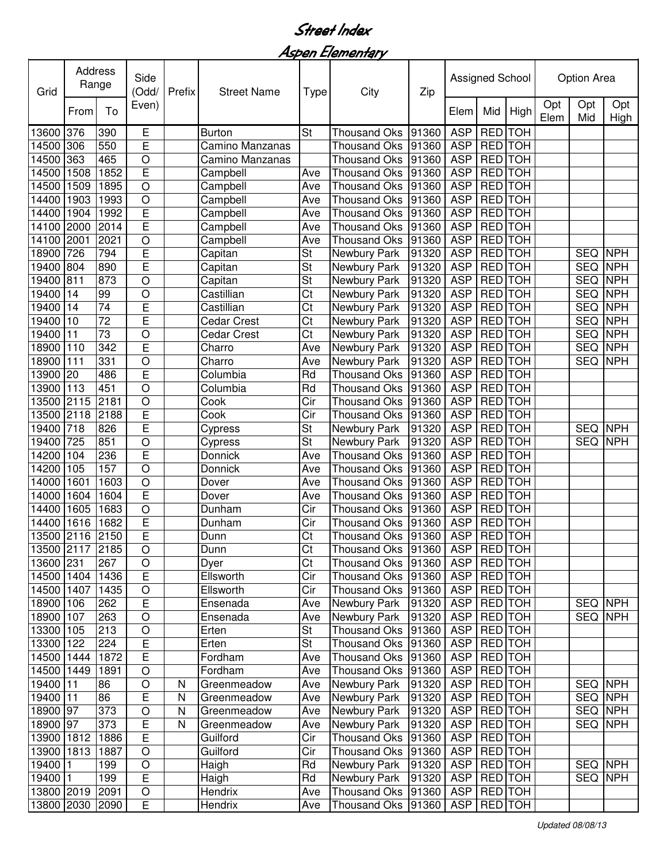Aspen Elementary

| Grid            |      | Address<br>Range |                | Prefix    | <b>Street Name</b> | City<br>Type           |                     |       | Assigned School |                 |                | <b>Option Area</b> |                |             |
|-----------------|------|------------------|----------------|-----------|--------------------|------------------------|---------------------|-------|-----------------|-----------------|----------------|--------------------|----------------|-------------|
|                 | From | To               | Even)          |           |                    |                        |                     | Zip   | Elem            | Mid             | High           | Opt<br>Elem        | Opt<br>Mid     | Opt<br>High |
| 13600           | 376  | 390              | E              |           | <b>Burton</b>      | St                     | <b>Thousand Oks</b> | 91360 | <b>ASP</b>      | <b>RED</b>      | <b>TOH</b>     |                    |                |             |
| 14500           | 306  | 550              | E              |           | Camino Manzanas    |                        | <b>Thousand Oks</b> | 91360 | <b>ASP</b>      |                 | RED TOH        |                    |                |             |
| 14500           | 363  | 465              | $\circ$        |           | Camino Manzanas    |                        | <b>Thousand Oks</b> | 91360 | <b>ASP</b>      |                 | RED TOH        |                    |                |             |
| 14500           | 1508 | 1852             | E              |           | Campbell           | Ave                    | <b>Thousand Oks</b> | 91360 | <b>ASP</b>      |                 | RED TOH        |                    |                |             |
| 14500           | 1509 | 1895             | $\circ$        |           | Campbell           | Ave                    | <b>Thousand Oks</b> | 91360 | <b>ASP</b>      |                 | <b>RED</b> TOH |                    |                |             |
| 14400           | 1903 | 1993             | $\circ$        |           | Campbell           | Ave                    | <b>Thousand Oks</b> | 91360 | <b>ASP</b>      |                 | RED TOH        |                    |                |             |
| 14400           | 1904 | 1992             | E              |           | Campbell           | Ave                    | <b>Thousand Oks</b> | 91360 | <b>ASP</b>      |                 | <b>RED</b> TOH |                    |                |             |
| 14100           | 2000 | 2014             | E              |           | Campbell           | Ave                    | <b>Thousand Oks</b> | 91360 | <b>ASP</b>      |                 | RED TOH        |                    |                |             |
| 14100           | 2001 | 2021             | $\circ$        |           | Campbell           | Ave                    | <b>Thousand Oks</b> | 91360 | <b>ASP</b>      | <b>RED</b>      | <b>TOH</b>     |                    |                |             |
| 18900           | 726  | 794              | E              |           | Capitan            | St                     | Newbury Park        | 91320 | <b>ASP</b>      |                 | RED TOH        |                    | <b>SEQ</b>     | <b>NPH</b>  |
| 19400           | 804  | 890              | E              |           | Capitan            | St                     | Newbury Park        | 91320 | <b>ASP</b>      |                 | RED TOH        |                    | <b>SEQ</b>     | <b>NPH</b>  |
| 19400           | 811  | 873              | $\circ$        |           | Capitan            | St                     | Newbury Park        | 91320 | <b>ASP</b>      |                 | RED TOH        |                    | <b>SEQ</b>     | <b>NPH</b>  |
| 19400           | 14   | 99               | $\circ$        |           | Castillian         | Ct                     | Newbury Park        | 91320 | <b>ASP</b>      |                 | RED TOH        |                    | <b>SEQ</b>     | <b>NPH</b>  |
| 19400           | 14   | $\overline{74}$  | E              |           | Castillian         | Ct                     | Newbury Park        | 91320 | <b>ASP</b>      |                 | <b>RED</b> TOH |                    | <b>SEQ</b>     | <b>NPH</b>  |
| 19400           | 10   | $\overline{72}$  | E              |           | Cedar Crest        | Ct                     | Newbury Park        | 91320 | <b>ASP</b>      | <b>RED</b>      | <b>TOH</b>     |                    | <b>SEQ</b>     | <b>NPH</b>  |
| 19400           | 11   | $\overline{73}$  | $\overline{O}$ |           | Cedar Crest        | $\overline{\text{Ct}}$ | Newbury Park        | 91320 | <b>ASP</b>      | <b>RED</b>      | <b>TOH</b>     |                    | <b>SEQ</b>     | <b>NPH</b>  |
| 18900           | 110  | 342              | Ē              |           | Charro             | Ave                    | Newbury Park        | 91320 | <b>ASP</b>      | <b>RED</b>      | <b>TOH</b>     |                    | <b>SEQ</b>     | <b>NPH</b>  |
| 18900           | 111  | 331              | $\overline{O}$ |           | Charro             | Ave                    | Newbury Park        | 91320 | <b>ASP</b>      | <b>RED</b>      | <b>TOH</b>     |                    | <b>SEQ</b>     | <b>NPH</b>  |
| 13900           | 20   | 486              | Ē              |           | Columbia           | Rd                     | <b>Thousand Oks</b> | 91360 | <b>ASP</b>      |                 | <b>RED</b> TOH |                    |                |             |
| 13900           | 113  | 451              | $\circ$        |           | Columbia           | Rd                     | <b>Thousand Oks</b> | 91360 | <b>ASP</b>      | <b>RED</b>      | <b>TOH</b>     |                    |                |             |
| 13500           | 2115 | 2181             | $\circ$        |           | Cook               | Cir                    | <b>Thousand Oks</b> | 91360 | <b>ASP</b>      |                 | RED TOH        |                    |                |             |
| 13500           | 2118 | 2188             | E              |           | Cook               | Cir                    | <b>Thousand Oks</b> | 91360 | <b>ASP</b>      |                 | RED TOH        |                    |                |             |
| 19400           | 718  | 826              | E              |           | Cypress            | St                     | Newbury Park        | 91320 | <b>ASP</b>      |                 | <b>RED</b> TOH |                    | <b>SEQ</b>     | <b>NPH</b>  |
| 19400           | 725  | 851              | $\circ$        |           | Cypress            | St                     | Newbury Park        | 91320 | <b>ASP</b>      |                 | <b>RED</b> TOH |                    | <b>SEQ</b>     | <b>NPH</b>  |
| 14200           | 104  | 236              | E              |           | Donnick            | Ave                    | <b>Thousand Oks</b> | 91360 | <b>ASP</b>      |                 | <b>RED</b> TOH |                    |                |             |
| 14200           | 105  | 157              | $\circ$        |           | Donnick            | Ave                    | <b>Thousand Oks</b> | 91360 | <b>ASP</b>      |                 | RED TOH        |                    |                |             |
| 14000           | 1601 | 1603             | $\circ$        |           | Dover              | Ave                    | <b>Thousand Oks</b> | 91360 | <b>ASP</b>      |                 | RED TOH        |                    |                |             |
| 14000           | 1604 | 1604             | E              |           | Dover              | Ave                    | <b>Thousand Oks</b> | 91360 | <b>ASP</b>      |                 | RED TOH        |                    |                |             |
| 14400           | 1605 | 1683             | $\overline{O}$ |           | Dunham             | Cir                    | <b>Thousand Oks</b> | 91360 | <b>ASP</b>      |                 | RED TOH        |                    |                |             |
| 14400           | 1616 | 1682             | E              |           | Dunham             | Cir                    | <b>Thousand Oks</b> | 91360 | <b>ASP</b>      |                 | RED TOH        |                    |                |             |
| 13500 2116 2150 |      |                  | Ē              |           | Dunn               | Ct                     | <b>Thousand Oks</b> | 91360 | <b>ASP</b>      |                 | RED TOH        |                    |                |             |
| 13500 2117 2185 |      |                  | $\overline{O}$ |           | Dunn               | $\overline{\text{Ct}}$ | Thousand Oks 91360  |       | ASP RED TOH     |                 |                |                    |                |             |
| 13600 231       |      | 267              | O              |           | Dyer               | Ct                     | Thousand Oks 91360  |       |                 | ASP   RED   TOH |                |                    |                |             |
| 14500 1404      |      | 1436             | $\overline{E}$ |           | Ellsworth          | Cir                    | Thousand Oks 91360  |       | ASP             |                 | RED TOH        |                    |                |             |
| 14500 1407      |      | 1435             | $\overline{O}$ |           | Ellsworth          | Cir                    | Thousand Oks        | 91360 | ASP             |                 | RED TOH        |                    |                |             |
| 18900 106       |      | 262              | E              |           | Ensenada           | Ave                    | Newbury Park        | 91320 | ASP             |                 | RED TOH        |                    | <b>SEQ NPH</b> |             |
| 18900 107       |      | 263              | $\circ$        |           | Ensenada           | Ave                    | Newbury Park        | 91320 |                 | ASP   RED   TOH |                |                    | <b>SEQ NPH</b> |             |
| 13300 105       |      | 213              | $\circ$        |           | Erten              | St                     | Thousand Oks 91360  |       |                 | ASP   RED   TOH |                |                    |                |             |
| 13300 122       |      | 224              | E              |           | Erten              | <b>St</b>              | Thousand Oks 91360  |       |                 | ASP   RED   TOH |                |                    |                |             |
| 14500 1444      |      | 1872             | E              |           | Fordham            | Ave                    | <b>Thousand Oks</b> | 91360 |                 | ASP   RED   TOH |                |                    |                |             |
| 14500 1449      |      | 1891             | $\circ$        |           | Fordham            | Ave                    | <b>Thousand Oks</b> | 91360 | ASP   RED   TOH |                 |                |                    |                |             |
| 19400 11        |      | 86               | $\circ$        | N         | Greenmeadow        | Ave                    | Newbury Park        | 91320 |                 | ASP   RED   TOH |                |                    | <b>SEQ NPH</b> |             |
| 19400 11        |      | 86               | $\overline{E}$ | ${\sf N}$ | Greenmeadow        | Ave                    | Newbury Park        | 91320 | ASP   RED TOH   |                 |                |                    | <b>SEQ NPH</b> |             |
| 18900 97        |      | 373              | $\circ$        | N         | Greenmeadow        | Ave                    | Newbury Park        | 91320 | <b>ASP</b>      |                 | <b>RED</b> TOH |                    | SEQ NPH        |             |
| 18900 97        |      | 373              | E              | N         | Greenmeadow        | Ave                    | Newbury Park        | 91320 |                 | ASP RED TOH     |                |                    | <b>SEQ</b>     | <b>NPH</b>  |
| 13900 1812      |      | 1886             | $\overline{E}$ |           | Guilford           | Cir                    | Thousand Oks 91360  |       | <b>ASP</b>      |                 | RED TOH        |                    |                |             |
| 13900 1813      |      | 1887             | $\circ$        |           | Guilford           | $\overline{C}$ ir      | Thousand Oks 91360  |       | ASP RED TOH     |                 |                |                    |                |             |
| 19400 1         |      | 199              | $\circ$        |           | Haigh              | Rd                     | Newbury Park        | 91320 | ASP   RED TOH   |                 |                |                    | <b>SEQ NPH</b> |             |
| 19400 1         |      | 199              | $\overline{E}$ |           | Haigh              | Rd                     | Newbury Park        | 91320 | ASP RED TOH     |                 |                |                    | SEQ NPH        |             |
| 13800 2019      |      | 2091             | $\circ$        |           | Hendrix            | Ave                    | Thousand Oks        | 91360 | ASP   RED   TOH |                 |                |                    |                |             |
| 13800 2030 2090 |      |                  | $\overline{E}$ |           | Hendrix            | Ave                    | Thousand Oks 91360  |       | ASP RED TOH     |                 |                |                    |                |             |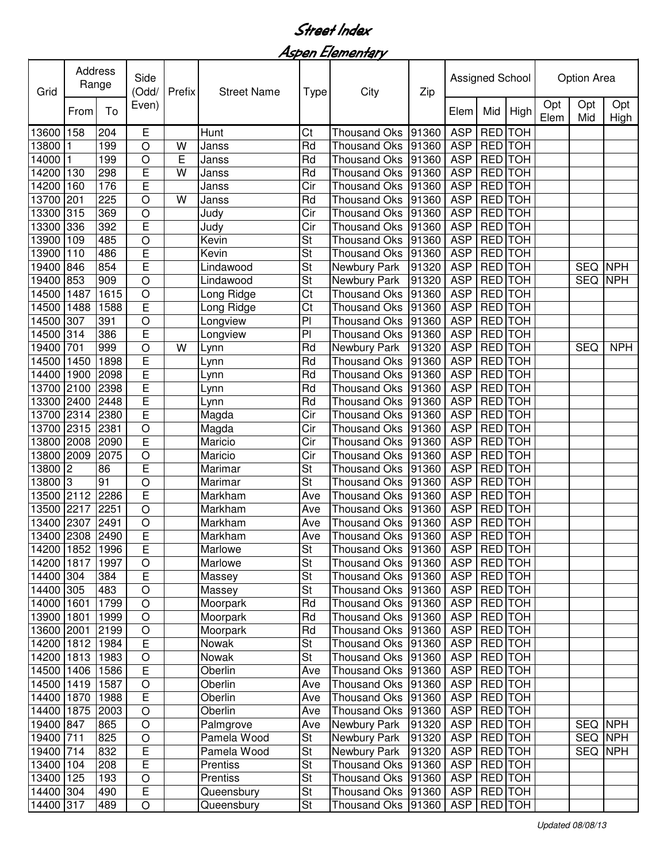Aspen Elementary

| Grid            | Address<br>Range |      | Side<br>(Odd/<br>Prefix |   | <b>Street Name</b> | Type                     | Assigned School<br>City<br>Zip |       |                 |                 |      | <b>Option Area</b> |            |             |  |
|-----------------|------------------|------|-------------------------|---|--------------------|--------------------------|--------------------------------|-------|-----------------|-----------------|------|--------------------|------------|-------------|--|
|                 | From             | To   | Even)                   |   |                    |                          |                                |       | Elem            | Mid             | High | Opt<br>Elem        | Opt<br>Mid | Opt<br>High |  |
| 13600           | 158              | 204  | E                       |   | Hunt               | Ct                       | <b>Thousand Oks</b>            | 91360 | <b>ASP</b>      | <b>RED</b> TOH  |      |                    |            |             |  |
| 13800           |                  | 199  | O                       | W | Janss              | Rd                       | <b>Thousand Oks</b>            | 91360 | <b>ASP</b>      | RED TOH         |      |                    |            |             |  |
| 14000           |                  | 199  | $\circ$                 | E | Janss              | Rd                       | <b>Thousand Oks</b>            | 91360 | <b>ASP</b>      | <b>RED</b> TOH  |      |                    |            |             |  |
| 14200           | 130              | 298  | E                       | W | Janss              | Rd                       | <b>Thousand Oks</b>            | 91360 | <b>ASP</b>      | RED TOH         |      |                    |            |             |  |
| 14200           | 160              | 176  | E                       |   | Janss              | Cir                      | <b>Thousand Oks</b>            | 91360 | <b>ASP</b>      | RED TOH         |      |                    |            |             |  |
| 13700           | 201              | 225  | O                       | W | Janss              | Rd                       | <b>Thousand Oks</b>            | 91360 | <b>ASP</b>      | RED TOH         |      |                    |            |             |  |
| 13300           | 315              | 369  | O                       |   | Judy               | Cir                      | <b>Thousand Oks</b>            | 91360 | <b>ASP</b>      | RED TOH         |      |                    |            |             |  |
| 13300           | 336              | 392  | E                       |   | Judy               | Cir                      | <b>Thousand Oks</b>            | 91360 | <b>ASP</b>      | RED TOH         |      |                    |            |             |  |
| 13900           | 109              | 485  | $\circ$                 |   | Kevin              | St                       | <b>Thousand Oks</b>            | 91360 | <b>ASP</b>      | <b>RED</b> TOH  |      |                    |            |             |  |
| 13900           | 110              | 486  | E                       |   | Kevin              | St                       | <b>Thousand Oks</b>            | 91360 | <b>ASP</b>      | RED TOH         |      |                    |            |             |  |
| 19400           | 846              | 854  | E                       |   | Lindawood          | St                       | Newbury Park                   | 91320 | <b>ASP</b>      | RED TOH         |      |                    | <b>SEQ</b> | <b>NPH</b>  |  |
| 19400           | 853              | 909  | $\circ$                 |   | Lindawood          | St                       | Newbury Park                   | 91320 | <b>ASP</b>      | RED TOH         |      |                    | <b>SEQ</b> | <b>NPH</b>  |  |
| 14500           | 1487             | 1615 | $\circ$                 |   | Long Ridge         | Ct                       | <b>Thousand Oks</b>            | 91360 | <b>ASP</b>      | RED TOH         |      |                    |            |             |  |
| 14500           | 1488             | 1588 | E                       |   | Long Ridge         | Ct                       | <b>Thousand Oks</b>            | 91360 | <b>ASP</b>      | RED TOH         |      |                    |            |             |  |
| 14500           | 307              | 391  | $\overline{O}$          |   | Longview           | PI                       | <b>Thousand Oks</b>            | 91360 | <b>ASP</b>      | <b>RED</b> TOH  |      |                    |            |             |  |
| 14500           | 314              | 386  | E                       |   | Longview           | P <sub>1</sub>           | <b>Thousand Oks</b>            | 91360 | <b>ASP</b>      | <b>RED</b> TOH  |      |                    |            |             |  |
| 19400           | 701              | 999  | $\overline{O}$          | W | Lynn               | Rd                       | Newbury Park                   | 91320 | <b>ASP</b>      | <b>RED</b> TOH  |      |                    | <b>SEQ</b> | <b>NPH</b>  |  |
| 14500           | 1450             | 1898 | Ē                       |   | Lynn               | Rd                       | <b>Thousand Oks</b>            | 91360 | <b>ASP</b>      | <b>RED</b> TOH  |      |                    |            |             |  |
| 14400           | 1900             | 2098 | Ē                       |   | Lynn               | Rd                       | Thousand Oks                   | 91360 | <b>ASP</b>      | <b>RED</b> TOH  |      |                    |            |             |  |
| 13700           | 2100             | 2398 | $\overline{E}$          |   | Lynn               | Rd                       | <b>Thousand Oks</b>            | 91360 | <b>ASP</b>      | <b>RED</b> TOH  |      |                    |            |             |  |
| 13300           | 2400             | 2448 | Ē                       |   | Lynn               | Rd                       | <b>Thousand Oks</b>            | 91360 | <b>ASP</b>      | <b>RED</b> TOH  |      |                    |            |             |  |
| 13700           | 2314             | 2380 | Ē                       |   | Magda              | Cir                      | Thousand Oks                   | 91360 | <b>ASP</b>      | RED TOH         |      |                    |            |             |  |
| 13700           | 2315             | 2381 | $\circ$                 |   | Magda              | Cir                      | <b>Thousand Oks</b>            | 91360 | <b>ASP</b>      | RED TOH         |      |                    |            |             |  |
| 13800 2008      |                  | 2090 | E                       |   | Maricio            | Cir                      | <b>Thousand Oks</b>            | 91360 | <b>ASP</b>      | <b>RED</b> TOH  |      |                    |            |             |  |
| 13800           | 2009             | 2075 | $\circ$                 |   | Maricio            | Cir                      | <b>Thousand Oks</b>            | 91360 | <b>ASP</b>      | <b>RED</b> TOH  |      |                    |            |             |  |
| 13800           | 2                | 86   | E                       |   | Marimar            | St                       | <b>Thousand Oks</b>            | 91360 | <b>ASP</b>      | RED TOH         |      |                    |            |             |  |
| 13800           | $\vert$ 3        | 91   | $\circ$                 |   | Marimar            | St                       | <b>Thousand Oks</b>            | 91360 | <b>ASP</b>      | RED TOH         |      |                    |            |             |  |
| 13500           | 2112             | 2286 | E                       |   | Markham            | Ave                      | <b>Thousand Oks</b>            | 91360 | <b>ASP</b>      | RED TOH         |      |                    |            |             |  |
| 13500           | 2217             | 2251 | $\circ$                 |   | Markham            | Ave                      | <b>Thousand Oks</b>            | 91360 | <b>ASP</b>      | RED TOH         |      |                    |            |             |  |
| 13400           | 2307             | 2491 | $\circ$                 |   | Markham            | Ave                      | <b>Thousand Oks</b>            | 91360 | <b>ASP</b>      | RED TOH         |      |                    |            |             |  |
| 13400 2308      |                  | 2490 | E                       |   | Markham            | Ave                      | Thousand Oks 91360             |       | <b>ASP</b>      | <b>RED</b> TOH  |      |                    |            |             |  |
| 14200 1852 1996 |                  |      | $\overline{\mathsf{E}}$ |   | Marlowe            | $\overline{\mathsf{St}}$ | Thousand Oks 91360             |       | ASP RED TOH     |                 |      |                    |            |             |  |
| 14200 1817      |                  | 1997 | $\circ$                 |   | Marlowe            | St                       | Thousand Oks                   | 91360 | ASP   RED   TOH |                 |      |                    |            |             |  |
| 14400 304       |                  | 384  | E                       |   | Massey             | St                       | Thousand Oks 91360             |       | ASP   RED   TOH |                 |      |                    |            |             |  |
| 14400 305       |                  | 483  | $\circ$                 |   | Massey             | St                       | Thousand Oks                   | 91360 |                 | ASP   RED   TOH |      |                    |            |             |  |
| 14000 1601      |                  | 1799 | $\overline{O}$          |   | Moorpark           | Rd                       | Thousand Oks                   | 91360 |                 | ASP RED TOH     |      |                    |            |             |  |
| 13900 1801      |                  | 1999 | $\circ$                 |   | Moorpark           | Rd                       | <b>Thousand Oks</b>            | 91360 | <b>ASP</b>      | <b>RED</b> TOH  |      |                    |            |             |  |
| 13600 2001      |                  | 2199 | $\overline{O}$          |   | Moorpark           | Rd                       | Thousand Oks 91360             |       |                 | ASP   RED   TOH |      |                    |            |             |  |
| 14200 1812      |                  | 1984 | $\overline{E}$          |   | Nowak              | St                       | Thousand Oks 91360             |       |                 | ASP   RED   TOH |      |                    |            |             |  |
| 14200 1813      |                  | 1983 | $\circ$                 |   | Nowak              | St                       | Thousand Oks                   | 91360 | <b>ASP</b>      | <b>RED</b> TOH  |      |                    |            |             |  |
| 14500 1406      |                  | 1586 | E                       |   | Oberlin            | Ave                      | <b>Thousand Oks</b>            | 91360 |                 | ASP   RED   TOH |      |                    |            |             |  |
| 14500 1419      |                  | 1587 | $\circ$                 |   | Oberlin            | Ave                      | Thousand Oks                   | 91360 | ASP   RED TOH   |                 |      |                    |            |             |  |
| 14400 1870      |                  | 1988 | $\overline{E}$          |   | Oberlin            | Ave                      | <b>Thousand Oks</b>            | 91360 |                 | ASP   RED   TOH |      |                    |            |             |  |
| 14400 1875      |                  | 2003 | $\circ$                 |   | Oberlin            | Ave                      | <b>Thousand Oks</b>            | 91360 | <b>ASP</b>      | <b>RED</b> TOH  |      |                    |            |             |  |
| 19400 847       |                  | 865  | $\circ$                 |   | Palmgrove          | Ave                      | Newbury Park                   | 91320 | <b>ASP</b>      | <b>RED</b> TOH  |      |                    | SEQ NPH    |             |  |
| 19400 711       |                  | 825  | $\circ$                 |   | Pamela Wood        | $\overline{\mathsf{St}}$ | Newbury Park                   | 91320 | <b>ASP</b>      | <b>RED</b> TOH  |      |                    |            | SEQ NPH     |  |
| 19400 714       |                  | 832  | E                       |   | Pamela Wood        | $\overline{\mathsf{St}}$ | Newbury Park                   | 91320 |                 | ASP RED TOH     |      |                    |            | SEQ NPH     |  |
| 13400 104       |                  | 208  | Ē                       |   | Prentiss           | <b>St</b>                | <b>Thousand Oks</b>            | 91360 | ASP RED TOH     |                 |      |                    |            |             |  |
| 13400 125       |                  | 193  | $\bigcirc$              |   | Prentiss           | <b>St</b>                | <b>Thousand Oks</b>            | 91360 | ASP RED TOH     |                 |      |                    |            |             |  |
| 14400 304       |                  | 490  | E                       |   | Queensbury         | St                       | Thousand Oks                   | 91360 | ASP   RED   TOH |                 |      |                    |            |             |  |
| 14400 317       |                  | 489  | $\circ$                 |   | Queensbury         | St                       | Thousand Oks                   | 91360 | <b>ASP</b>      | <b>RED</b> TOH  |      |                    |            |             |  |